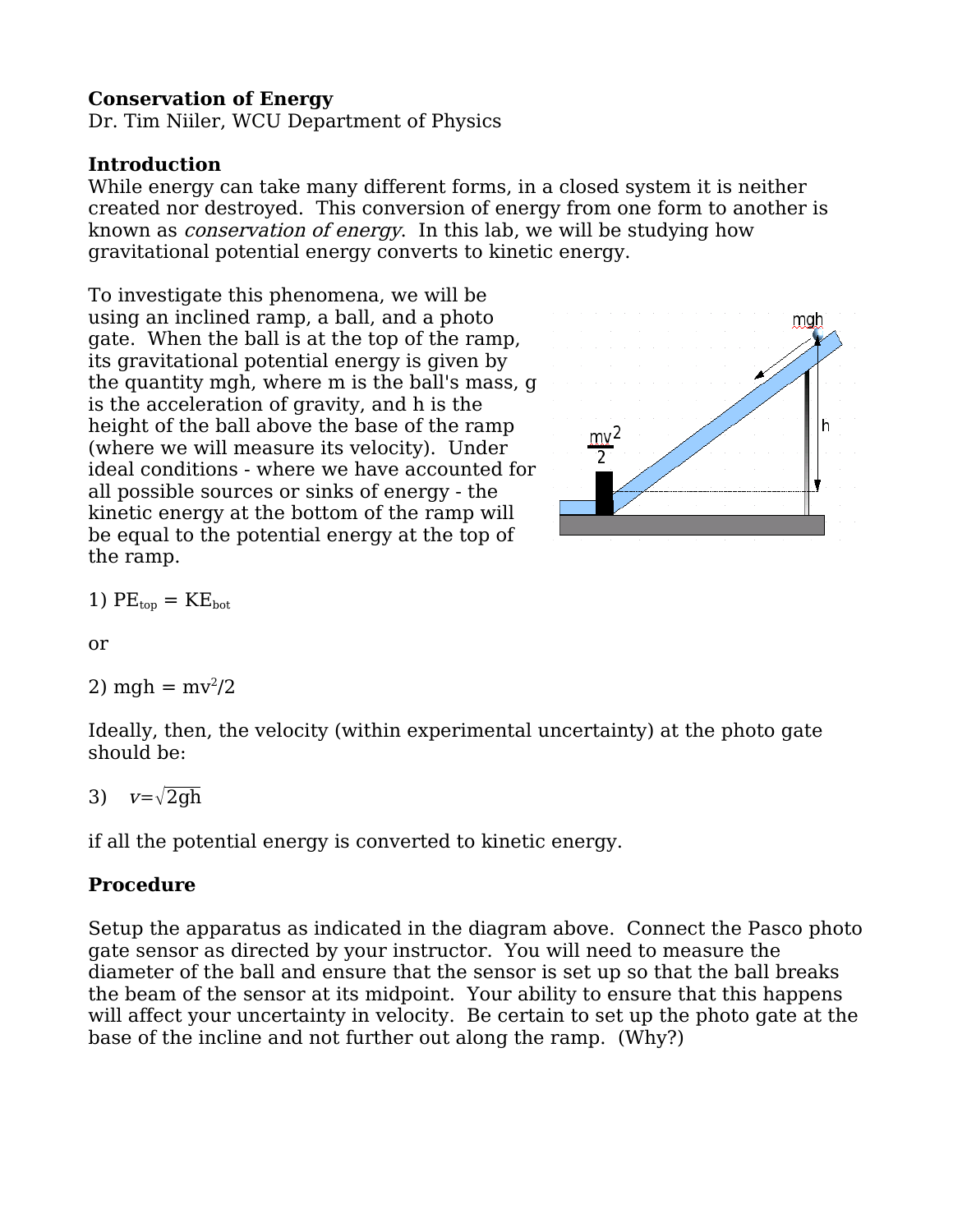### **Conservation of Energy**

Dr. Tim Niiler, WCU Department of Physics

#### **Introduction**

While energy can take many different forms, in a closed system it is neither created nor destroyed. This conversion of energy from one form to another is known as conservation of energy. In this lab, we will be studying how gravitational potential energy converts to kinetic energy.

To investigate this phenomena, we will be using an inclined ramp, a ball, and a photo gate. When the ball is at the top of the ramp, its gravitational potential energy is given by the quantity mgh, where m is the ball's mass, g is the acceleration of gravity, and h is the height of the ball above the base of the ramp (where we will measure its velocity). Under ideal conditions - where we have accounted for all possible sources or sinks of energy - the kinetic energy at the bottom of the ramp will be equal to the potential energy at the top of the ramp.



1) 
$$
PE_{top} = KE_{bot}
$$

or

2) mgh =  $mv^2/2$ 

Ideally, then, the velocity (within experimental uncertainty) at the photo gate should be:

3)  $v=\sqrt{2ah}$ 

if all the potential energy is converted to kinetic energy.

## **Procedure**

Setup the apparatus as indicated in the diagram above. Connect the Pasco photo gate sensor as directed by your instructor. You will need to measure the diameter of the ball and ensure that the sensor is set up so that the ball breaks the beam of the sensor at its midpoint. Your ability to ensure that this happens will affect your uncertainty in velocity. Be certain to set up the photo gate at the base of the incline and not further out along the ramp. (Why?)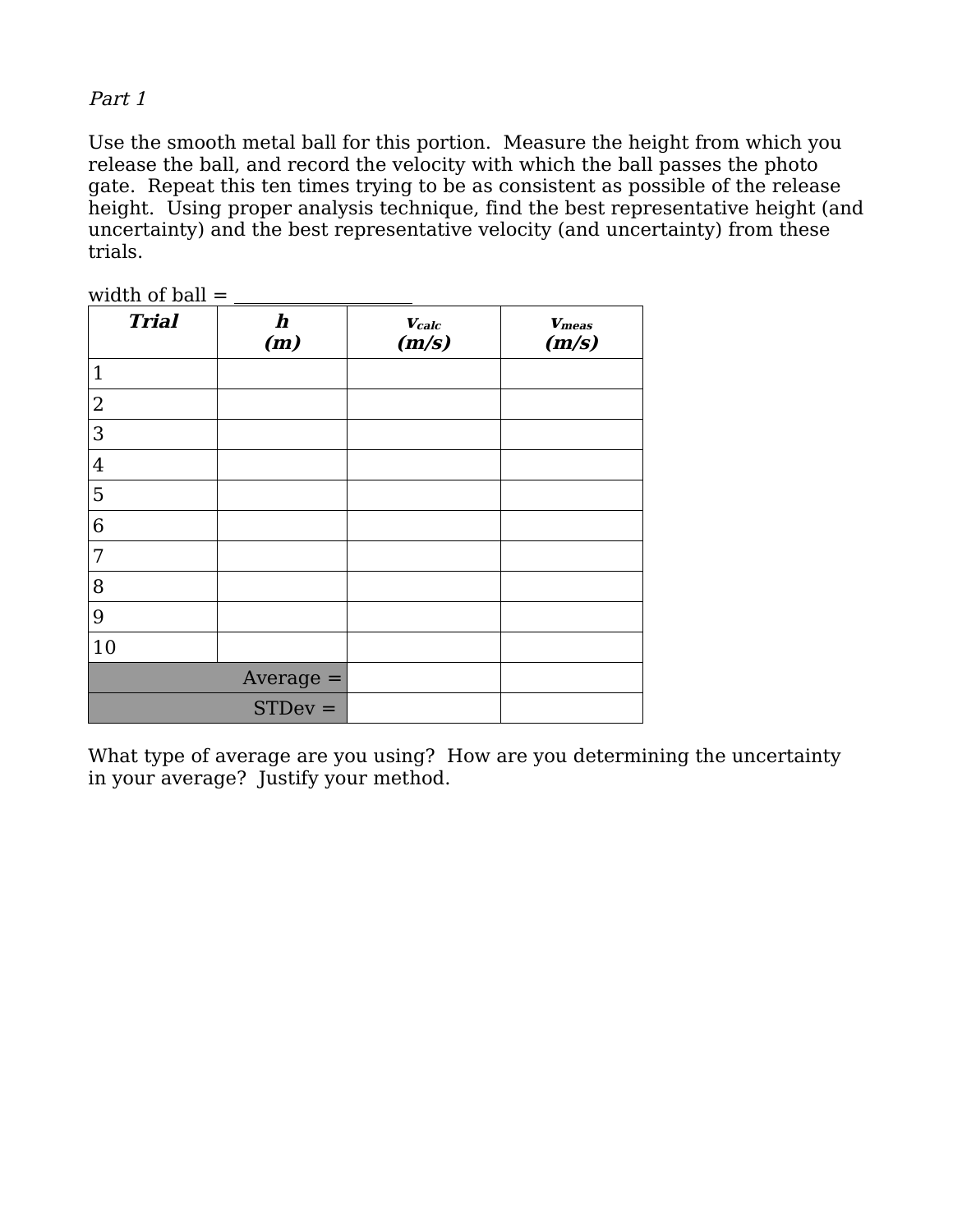### Part 1

Use the smooth metal ball for this portion. Measure the height from which you release the ball, and record the velocity with which the ball passes the photo gate. Repeat this ten times trying to be as consistent as possible of the release height. Using proper analysis technique, find the best representative height (and uncertainty) and the best representative velocity (and uncertainty) from these trials.

| width of ball $=$ |                 |                                  |                        |
|-------------------|-----------------|----------------------------------|------------------------|
| <b>Trial</b>      | $\bm{h}$<br>(m) | $\boldsymbol{V_{calc}}$<br>(m/s) | <b>V</b> meas<br>(m/s) |
| $\mathbf{1}$      |                 |                                  |                        |
| $\overline{2}$    |                 |                                  |                        |
| 3                 |                 |                                  |                        |
| $\overline{4}$    |                 |                                  |                        |
| 5                 |                 |                                  |                        |
| 6                 |                 |                                  |                        |
| 7                 |                 |                                  |                        |
| 8                 |                 |                                  |                        |
| 9                 |                 |                                  |                        |
| 10                |                 |                                  |                        |
| $Average =$       |                 |                                  |                        |
|                   | $STDev =$       |                                  |                        |

What type of average are you using? How are you determining the uncertainty in your average? Justify your method.